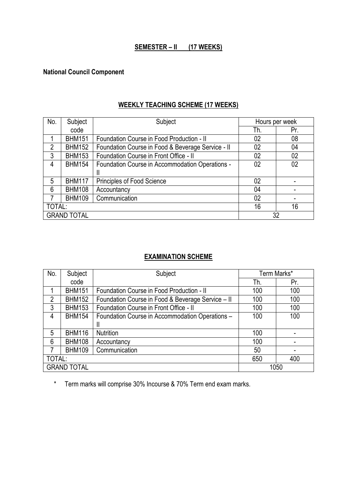# **SEMESTER – II (17 WEEKS)**

# **National Council Component**

### **WEEKLY TEACHING SCHEME (17 WEEKS)**

| No.            | Subject            | Subject                                           | Hours per week |     |
|----------------|--------------------|---------------------------------------------------|----------------|-----|
|                | code               |                                                   | Th.            | Pr. |
|                | <b>BHM151</b>      | Foundation Course in Food Production - II         | 02             | 08  |
| $\overline{2}$ | <b>BHM152</b>      | Foundation Course in Food & Beverage Service - II | 02             | 04  |
| 3              | <b>BHM153</b>      | Foundation Course in Front Office - II            | 02             | 02  |
| 4              | <b>BHM154</b>      | Foundation Course in Accommodation Operations -   | 02             | 02  |
|                |                    | Ш                                                 |                |     |
| 5              | <b>BHM117</b>      | <b>Principles of Food Science</b>                 | 02             |     |
| 6              | <b>BHM108</b>      | Accountancy                                       | 04             |     |
| 7              | <b>BHM109</b>      | Communication                                     | 02             |     |
| TOTAL:         |                    |                                                   | 16             | 16  |
|                | <b>GRAND TOTAL</b> |                                                   |                | 32  |

### **EXAMINATION SCHEME**

| No.            | Subject            | Subject                                           | Term Marks* |      |
|----------------|--------------------|---------------------------------------------------|-------------|------|
|                | code               |                                                   | Th.         | Pr.  |
|                | <b>BHM151</b>      | Foundation Course in Food Production - II         | 100         | 100  |
| $\overline{2}$ | <b>BHM152</b>      | Foundation Course in Food & Beverage Service - II | 100         | 100  |
| 3              | <b>BHM153</b>      | Foundation Course in Front Office - II            | 100         | 100  |
| 4              | <b>BHM154</b>      | Foundation Course in Accommodation Operations -   | 100         | 100  |
|                |                    | Ш                                                 |             |      |
| 5              | <b>BHM116</b>      | Nutrition                                         | 100         |      |
| 6              | <b>BHM108</b>      | Accountancy                                       | 100         |      |
| 7              | <b>BHM109</b>      | Communication                                     | 50          |      |
| TOTAL:         |                    |                                                   | 650         | 400  |
|                | <b>GRAND TOTAL</b> |                                                   |             | 1050 |

\* Term marks will comprise 30% Incourse & 70% Term end exam marks.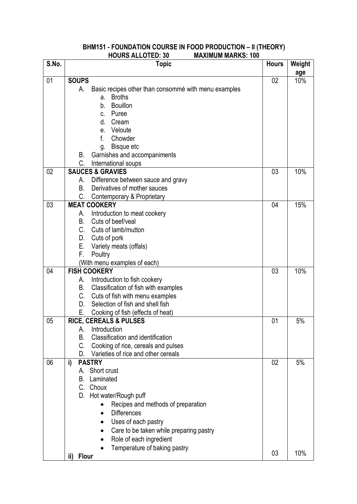#### **S.No. Topic Hours Weight age** 01 **SOUPS** A. Basic recipes other than consommé with menu examples a. Broths b. Bouillon c. Puree d. Cream e. Veloute f. Chowder g. Bisque etc B. Garnishes and accompaniments C. International soups 02 10% 02 **SAUCES & GRAVIES** A. Difference between sauce and gravy B. Derivatives of mother sauces C. Contemporary & Proprietary  $03$  10% 03 **MEAT COOKERY** A. Introduction to meat cookery B. Cuts of beef/veal C. Cuts of lamb/mutton D. Cuts of pork E. Variety meats (offals) F. Poultry (With menu examples of each) 04 15% 04 **FISH COOKERY** A. Introduction to fish cookery B. Classification of fish with examples C. Cuts of fish with menu examples D. Selection of fish and shell fish E. Cooking of fish (effects of heat)  $03 \quad 10\%$ 05 **RICE, CEREALS & PULSES** A. Introduction B. Classification and identification C. Cooking of rice, cereals and pulses D. Varieties of rice and other cereals  $01 \quad 5\%$ 06 **i) PASTRY** A. Short crust B. Laminated C. Choux D. Hot water/Rough puff • Recipes and methods of preparation • Differences • Uses of each pastry • Care to be taken while preparing pastry • Role of each ingredient • Temperature of baking pastry **ii) Flour** 02 03 5% 10%

#### **BHM151 - FOUNDATION COURSE IN FOOD PRODUCTION – II (THEORY) HOURS ALLOTED: 30 MAXIMUM MARKS: 100**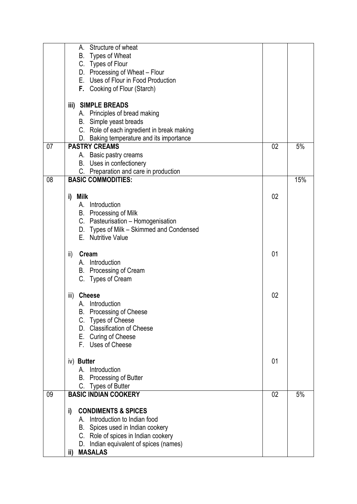|    | Structure of wheat                                                             |    |     |
|----|--------------------------------------------------------------------------------|----|-----|
|    | B. Types of Wheat                                                              |    |     |
|    | C. Types of Flour                                                              |    |     |
|    | D. Processing of Wheat - Flour                                                 |    |     |
|    | E. Uses of Flour in Food Production                                            |    |     |
|    | F. Cooking of Flour (Starch)                                                   |    |     |
|    | iii) SIMPLE BREADS                                                             |    |     |
|    | A. Principles of bread making                                                  |    |     |
|    | B. Simple yeast breads                                                         |    |     |
|    | C. Role of each ingredient in break making                                     |    |     |
|    | D. Baking temperature and its importance                                       |    |     |
| 07 | <b>PASTRY CREAMS</b>                                                           | 02 | 5%  |
|    | A. Basic pastry creams                                                         |    |     |
|    | B. Uses in confectionery                                                       |    |     |
|    | C. Preparation and care in production                                          |    |     |
| 08 | <b>BASIC COMMODITIES:</b>                                                      |    | 15% |
|    |                                                                                |    |     |
|    | i)<br>Milk<br>A. Introduction                                                  | 02 |     |
|    |                                                                                |    |     |
|    | B. Processing of Milk                                                          |    |     |
|    | C. Pasteurisation - Homogenisation<br>D. Types of Milk - Skimmed and Condensed |    |     |
|    | E. Nutritive Value                                                             |    |     |
|    |                                                                                |    |     |
|    | ii)<br>Cream                                                                   | 01 |     |
|    | A. Introduction                                                                |    |     |
|    | B. Processing of Cream                                                         |    |     |
|    | C. Types of Cream                                                              |    |     |
|    |                                                                                |    |     |
|    | iii)<br><b>Cheese</b>                                                          | 02 |     |
|    | Introduction                                                                   |    |     |
|    | <b>B.</b> Processing of Cheese                                                 |    |     |
|    | C. Types of Cheese                                                             |    |     |
|    | D. Classification of Cheese                                                    |    |     |
|    | E. Curing of Cheese                                                            |    |     |
|    | F. Uses of Cheese                                                              |    |     |
|    | iv) Butter                                                                     | 01 |     |
|    | A. Introduction                                                                |    |     |
|    | <b>B.</b> Processing of Butter                                                 |    |     |
|    | C. Types of Butter                                                             |    |     |
| 09 | <b>BASIC INDIAN COOKERY</b>                                                    | 02 | 5%  |
|    |                                                                                |    |     |
|    | <b>CONDIMENTS &amp; SPICES</b><br>i)                                           |    |     |
|    | A. Introduction to Indian food                                                 |    |     |
|    | B. Spices used in Indian cookery                                               |    |     |
|    | C. Role of spices in Indian cookery                                            |    |     |
|    | Indian equivalent of spices (names)<br>D.                                      |    |     |
|    | <b>MASALAS</b><br>ii)                                                          |    |     |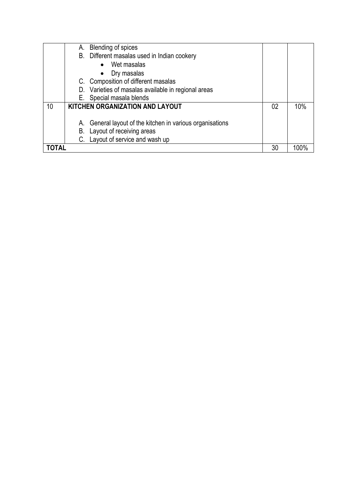|    | А. | <b>Blending of spices</b>                                 |    |     |
|----|----|-----------------------------------------------------------|----|-----|
|    |    | B. Different masalas used in Indian cookery               |    |     |
|    |    | Wet masalas<br>$\bullet$                                  |    |     |
|    |    | Dry masalas<br>$\bullet$                                  |    |     |
|    |    | C. Composition of different masalas                       |    |     |
|    |    | D. Varieties of masalas available in regional areas       |    |     |
|    |    | E. Special masala blends                                  |    |     |
| 10 |    | <b>KITCHEN ORGANIZATION AND LAYOUT</b>                    | 02 | 10% |
|    |    |                                                           |    |     |
|    |    | A. General layout of the kitchen in various organisations |    |     |
|    |    | B. Layout of receiving areas                              |    |     |
|    |    | C. Layout of service and wash up                          |    |     |
|    |    |                                                           | 30 |     |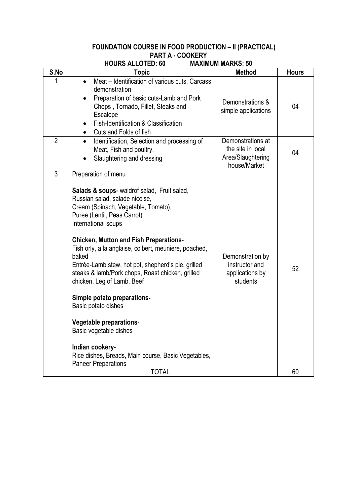#### **FOUNDATION COURSE IN FOOD PRODUCTION – II (PRACTICAL) PART A - COOKERY**

| S.No<br><b>Method</b><br><b>Hours</b><br><b>Topic</b><br>1<br>Meat – Identification of various cuts, Carcass<br>$\bullet$<br>demonstration<br>Preparation of basic cuts-Lamb and Pork<br>$\bullet$<br>Demonstrations &<br>04<br>Chops, Tornado, Fillet, Steaks and<br>simple applications<br>Escalope<br>Fish-Identification & Classification<br>Cuts and Folds of fish<br>$\bullet$<br>$\overline{2}$<br>Demonstrations at<br>Identification, Selection and processing of<br>$\bullet$<br>the site in local<br>Meat, Fish and poultry.<br>04<br>Area/Slaughtering<br>Slaughtering and dressing<br>house/Market<br>3<br>Preparation of menu<br>Salads & soups- waldrof salad, Fruit salad,<br>Russian salad, salade nicoise,<br>Cream (Spinach, Vegetable, Tomato),<br>Puree (Lentil, Peas Carrot)<br>International soups<br><b>Chicken, Mutton and Fish Preparations-</b><br>Fish orly, a la anglaise, colbert, meuniere, poached,<br>baked<br>Demonstration by<br>Entrée-Lamb stew, hot pot, shepherd's pie, grilled<br>instructor and<br>52<br>steaks & lamb/Pork chops, Roast chicken, grilled<br>applications by<br>chicken, Leg of Lamb, Beef<br>students<br>Simple potato preparations-<br>Basic potato dishes<br>Vegetable preparations-<br>Basic vegetable dishes<br>Indian cookery-<br>Rice dishes, Breads, Main course, Basic Vegetables,<br><b>Paneer Preparations</b><br><b>TOTAL</b><br>60 | <b>HOURS ALLOTED: 60</b> | <b>MAXIMUM MARKS: 50</b> |  |
|----------------------------------------------------------------------------------------------------------------------------------------------------------------------------------------------------------------------------------------------------------------------------------------------------------------------------------------------------------------------------------------------------------------------------------------------------------------------------------------------------------------------------------------------------------------------------------------------------------------------------------------------------------------------------------------------------------------------------------------------------------------------------------------------------------------------------------------------------------------------------------------------------------------------------------------------------------------------------------------------------------------------------------------------------------------------------------------------------------------------------------------------------------------------------------------------------------------------------------------------------------------------------------------------------------------------------------------------------------------------------------------------------------|--------------------------|--------------------------|--|
|                                                                                                                                                                                                                                                                                                                                                                                                                                                                                                                                                                                                                                                                                                                                                                                                                                                                                                                                                                                                                                                                                                                                                                                                                                                                                                                                                                                                          |                          |                          |  |
|                                                                                                                                                                                                                                                                                                                                                                                                                                                                                                                                                                                                                                                                                                                                                                                                                                                                                                                                                                                                                                                                                                                                                                                                                                                                                                                                                                                                          |                          |                          |  |
|                                                                                                                                                                                                                                                                                                                                                                                                                                                                                                                                                                                                                                                                                                                                                                                                                                                                                                                                                                                                                                                                                                                                                                                                                                                                                                                                                                                                          |                          |                          |  |
|                                                                                                                                                                                                                                                                                                                                                                                                                                                                                                                                                                                                                                                                                                                                                                                                                                                                                                                                                                                                                                                                                                                                                                                                                                                                                                                                                                                                          |                          |                          |  |
|                                                                                                                                                                                                                                                                                                                                                                                                                                                                                                                                                                                                                                                                                                                                                                                                                                                                                                                                                                                                                                                                                                                                                                                                                                                                                                                                                                                                          |                          |                          |  |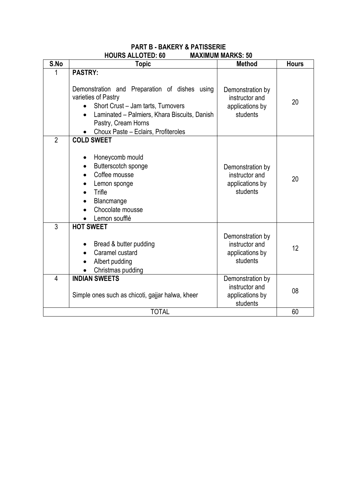#### **PART B - BAKERY & PATISSERIE HOURS ALLOTED: 60 MAXIMUM MARKS: 50**

| S.No           | <b>Method</b>                                                                                                                                                                                                                                           |                                                                   |              |  |  |
|----------------|---------------------------------------------------------------------------------------------------------------------------------------------------------------------------------------------------------------------------------------------------------|-------------------------------------------------------------------|--------------|--|--|
| 1              | <b>Topic</b>                                                                                                                                                                                                                                            |                                                                   | <b>Hours</b> |  |  |
|                | <b>PASTRY:</b><br>Demonstration and Preparation of dishes using<br>varieties of Pastry<br>Short Crust - Jam tarts, Turnovers<br>Laminated - Palmiers, Khara Biscuits, Danish<br>$\bullet$<br>Pastry, Cream Horns<br>Choux Paste - Eclairs, Profiteroles | Demonstration by<br>instructor and<br>applications by<br>students | 20           |  |  |
| $\overline{2}$ | <b>COLD SWEET</b>                                                                                                                                                                                                                                       |                                                                   |              |  |  |
|                | Honeycomb mould<br>Butterscotch sponge<br>Coffee mousse<br>Lemon sponge<br>Trifle<br>Blancmange<br>Chocolate mousse<br>Lemon soufflé                                                                                                                    | Demonstration by<br>instructor and<br>applications by<br>students | 20           |  |  |
| 3              | <b>HOT SWEET</b><br>Bread & butter pudding<br>Caramel custard<br>Albert pudding<br>Christmas pudding                                                                                                                                                    | Demonstration by<br>instructor and<br>applications by<br>students | 12           |  |  |
| $\overline{4}$ | <b>INDIAN SWEETS</b><br>Simple ones such as chicoti, gajjar halwa, kheer                                                                                                                                                                                | Demonstration by<br>instructor and<br>applications by<br>students | 08           |  |  |
|                | <b>TOTAL</b>                                                                                                                                                                                                                                            |                                                                   | 60           |  |  |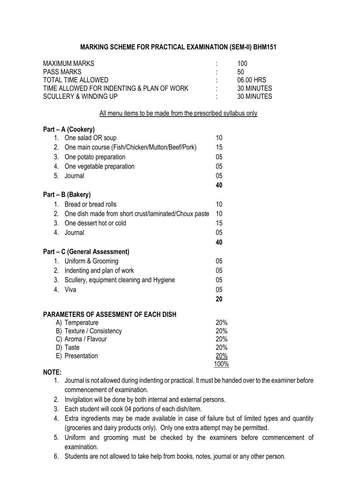| <b>MAXIMUM MARKS</b>                      | 100        |
|-------------------------------------------|------------|
| <b>PASS MARKS</b>                         | 50         |
| TOTAL TIME ALLOWED                        | 06.00 HRS  |
| TIME ALLOWED FOR INDENTING & PLAN OF WORK | 30 MINUTES |
| <b>SCULLERY &amp; WINDING UP</b>          | 30 MINUTES |

All menu items to be made from the prescribed syllabus only

|    | Part - A (Cookery)                                      |            |
|----|---------------------------------------------------------|------------|
| 1. | One salad OR soup                                       | 10         |
| 2. | One main course (Fish/Chicken/Mutton/Beef/Pork)         | 15         |
| 3. | One potato preparation                                  | 05         |
| 4. | One vegetable preparation                               | 05         |
| 5. | Journal                                                 | 05         |
|    |                                                         | 40         |
|    | Part – B (Bakery)                                       |            |
|    | 1. Bread or bread rolls                                 | 10         |
|    | 2. One dish made from short crust/laminated/Choux paste | 10         |
|    | 3. One dessert hot or cold                              | 15         |
|    | 4. Journal                                              | 05         |
|    |                                                         | 40         |
|    | Part – C (General Assessment)                           |            |
| 1. | Uniform & Grooming                                      | 05         |
| 2. | Indenting and plan of work                              | 05         |
| 3. | Scullery, equipment cleaning and Hygiene                | 05         |
| 4. | Viva                                                    | 05         |
|    |                                                         | 20         |
|    |                                                         |            |
|    | PARAMETERS OF ASSESMENT OF EACH DISH<br>A) Temperature  | 20%        |
|    | B) Texture / Consistency                                | 20%        |
|    | C) Aroma / Flavour                                      | 20%        |
|    | D) Taste                                                | 20%        |
|    | E) Presentation                                         | <u>20%</u> |
|    |                                                         | 100%       |

- 1. Journal is not allowed during indenting or practical. It must be handed over to the examiner before commencement of examination.
- 2. Invigilation will be done by both internal and external persons.
- 3. Each student will cook 04 portions of each dish/item.
- 4. Extra ingredients may be made available in case of failure but of limited types and quantity (groceries and dairy products only). Only one extra attempt may be permitted.
- 5. Uniform and grooming must be checked by the examiners before commencement of examination.
- 6. Students are not allowed to take help from books, notes, journal or any other person.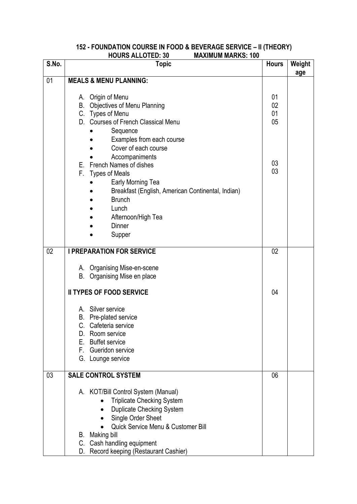#### **152 - FOUNDATION COURSE IN FOOD & BEVERAGE SERVICE – II (THEORY) HOURS ALLOTED: 30 MAXIMUM MARKS: 100**

| S.No. | <b>Topic</b>                                                                                                                                                                                                                                                                           | <b>Hours</b>         | Weight<br>age |
|-------|----------------------------------------------------------------------------------------------------------------------------------------------------------------------------------------------------------------------------------------------------------------------------------------|----------------------|---------------|
| 01    | <b>MEALS &amp; MENU PLANNING:</b>                                                                                                                                                                                                                                                      |                      |               |
|       | A. Origin of Menu<br><b>Objectives of Menu Planning</b><br>В.<br>C. Types of Menu<br>D. Courses of French Classical Menu<br>Sequence<br>Examples from each course<br>Cover of each course                                                                                              | 01<br>02<br>01<br>05 |               |
|       | Accompaniments<br>E. French Names of dishes<br>F.<br><b>Types of Meals</b><br>Early Morning Tea<br>Breakfast (English, American Continental, Indian)<br><b>Brunch</b><br>Lunch<br>Afternoon/High Tea<br>Dinner<br>Supper                                                               | 03<br>03             |               |
| 02    | <b>I PREPARATION FOR SERVICE</b>                                                                                                                                                                                                                                                       | 02                   |               |
|       | A. Organising Mise-en-scene<br>Organising Mise en place<br>В.                                                                                                                                                                                                                          |                      |               |
|       | <b>II TYPES OF FOOD SERVICE</b>                                                                                                                                                                                                                                                        | 04                   |               |
|       | A. Silver service<br>B. Pre-plated service<br>C. Cafeteria service<br>Room service<br>D.<br>E. Buffet service<br>F.<br>Gueridon service<br>G. Lounge service                                                                                                                           |                      |               |
| 03    | <b>SALE CONTROL SYSTEM</b>                                                                                                                                                                                                                                                             | 06                   |               |
|       | A. KOT/Bill Control System (Manual)<br><b>Triplicate Checking System</b><br><b>Duplicate Checking System</b><br>$\bullet$<br>Single Order Sheet<br>Quick Service Menu & Customer Bill<br><b>B.</b> Making bill<br>C. Cash handling equipment<br>D. Record keeping (Restaurant Cashier) |                      |               |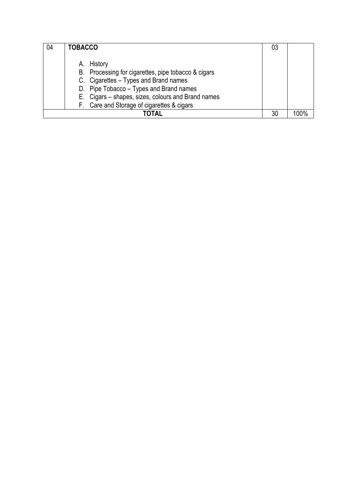| 04 | <b>TOBACCO</b>                                                                                                                                                                                                                                            | 03 |  |
|----|-----------------------------------------------------------------------------------------------------------------------------------------------------------------------------------------------------------------------------------------------------------|----|--|
|    | A. History<br>B. Processing for cigarettes, pipe tobacco & cigars<br>C. Cigarettes - Types and Brand names<br>D. Pipe Tobacco - Types and Brand names<br>E. Cigars – shapes, sizes, colours and Brand names<br>F. Care and Storage of cigarettes & cigars |    |  |
|    | TOTAL                                                                                                                                                                                                                                                     | 30 |  |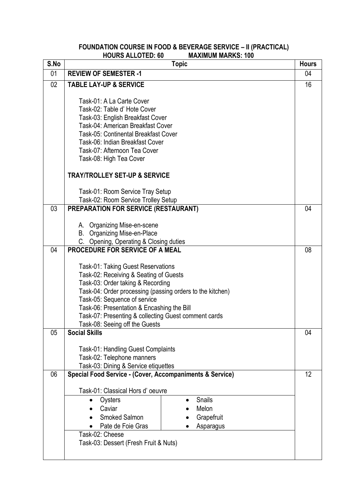#### **FOUNDATION COURSE IN FOOD & BEVERAGE SERVICE – II (PRACTICAL) HOURS ALLOTED: 60 MAXIMUM MARKS: 100**

| S.No            | <b>Topic</b>                                                                                                                                                                                                                                                                                                                                           | <b>Hours</b> |
|-----------------|--------------------------------------------------------------------------------------------------------------------------------------------------------------------------------------------------------------------------------------------------------------------------------------------------------------------------------------------------------|--------------|
| 01              | <b>REVIEW OF SEMESTER -1</b>                                                                                                                                                                                                                                                                                                                           | 04           |
| 02 <sub>2</sub> | <b>TABLE LAY-UP &amp; SERVICE</b>                                                                                                                                                                                                                                                                                                                      | 16           |
|                 | Task-01: A La Carte Cover<br>Task-02: Table d' Hote Cover<br>Task-03: English Breakfast Cover<br>Task-04: American Breakfast Cover<br>Task-05: Continental Breakfast Cover<br>Task-06: Indian Breakfast Cover<br>Task-07: Afternoon Tea Cover<br>Task-08: High Tea Cover<br><b>TRAY/TROLLEY SET-UP &amp; SERVICE</b>                                   |              |
|                 | Task-01: Room Service Tray Setup                                                                                                                                                                                                                                                                                                                       |              |
|                 | Task-02: Room Service Trolley Setup                                                                                                                                                                                                                                                                                                                    |              |
| 03              | <b>PREPARATION FOR SERVICE (RESTAURANT)</b><br>A. Organizing Mise-en-scene<br>B. Organizing Mise-en-Place<br>C. Opening, Operating & Closing duties                                                                                                                                                                                                    | 04           |
| 04              | <b>PROCEDURE FOR SERVICE OF A MEAL</b>                                                                                                                                                                                                                                                                                                                 | 08           |
|                 | Task-01: Taking Guest Reservations<br>Task-02: Receiving & Seating of Guests<br>Task-03: Order taking & Recording<br>Task-04: Order processing (passing orders to the kitchen)<br>Task-05: Sequence of service<br>Task-06: Presentation & Encashing the Bill<br>Task-07: Presenting & collecting Guest comment cards<br>Task-08: Seeing off the Guests |              |
| 05              | <b>Social Skills</b>                                                                                                                                                                                                                                                                                                                                   | 04           |
| 06              | Task-01: Handling Guest Complaints<br>Task-02: Telephone manners<br>Task-03: Dining & Service etiquettes                                                                                                                                                                                                                                               | 12           |
|                 | <b>Special Food Service - (Cover, Accompaniments &amp; Service)</b>                                                                                                                                                                                                                                                                                    |              |
|                 | Task-01: Classical Hors d'oeuvre<br><b>Snails</b><br>Oysters<br>Caviar<br>Melon<br><b>Smoked Salmon</b><br>Grapefruit<br>Pate de Foie Gras<br>Asparagus<br>Task-02: Cheese<br>Task-03: Dessert (Fresh Fruit & Nuts)                                                                                                                                    |              |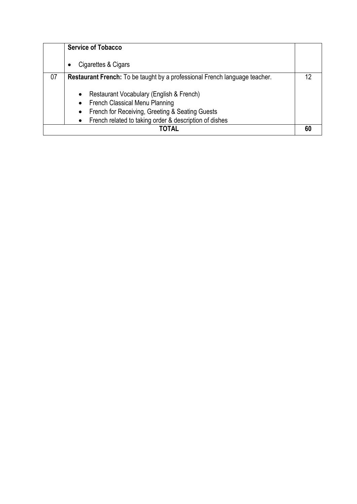| <b>Service of Tobacco</b>                                                                                                                                                                                                                   |  |
|---------------------------------------------------------------------------------------------------------------------------------------------------------------------------------------------------------------------------------------------|--|
| Cigarettes & Cigars                                                                                                                                                                                                                         |  |
| 07<br><b>Restaurant French:</b> To be taught by a professional French language teacher.                                                                                                                                                     |  |
| Restaurant Vocabulary (English & French)<br>$\bullet$<br>French Classical Menu Planning<br>$\bullet$<br>French for Receiving, Greeting & Seating Guests<br>$\bullet$<br>French related to taking order & description of dishes<br>$\bullet$ |  |
| ΤΟΤΑΙ                                                                                                                                                                                                                                       |  |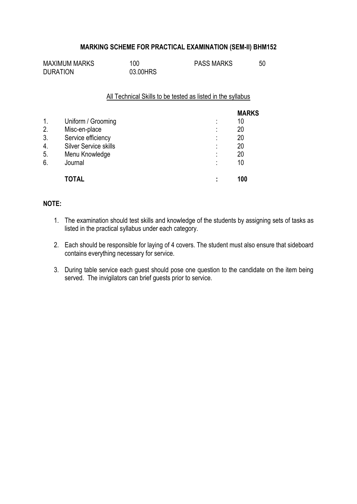| <b>MAXIMUM MARKS</b> | 100      | <b>PASS MARKS</b> |  |
|----------------------|----------|-------------------|--|
| <b>DURATION</b>      | 03.00HRS |                   |  |

All Technical Skills to be tested as listed in the syllabus

|               |                              |                     | <b>MARKS</b> |
|---------------|------------------------------|---------------------|--------------|
| $\mathbf 1$ . | Uniform / Grooming           | ٠<br>$\blacksquare$ | 10           |
| 2.            | Misc-en-place                | ٠<br>$\blacksquare$ | 20           |
| 3.            | Service efficiency           | ٠<br>$\blacksquare$ | 20           |
| 4.            | <b>Silver Service skills</b> | ٠                   | 20           |
| 5.            | Menu Knowledge               | ٠<br>$\blacksquare$ | 20           |
| 6.            | Journal                      | ٠                   | 10           |
|               | <b>TOTAL</b>                 |                     | 100          |

- 1. The examination should test skills and knowledge of the students by assigning sets of tasks as listed in the practical syllabus under each category.
- 2. Each should be responsible for laying of 4 covers. The student must also ensure that sideboard contains everything necessary for service.
- 3. During table service each guest should pose one question to the candidate on the item being served. The invigilators can brief guests prior to service.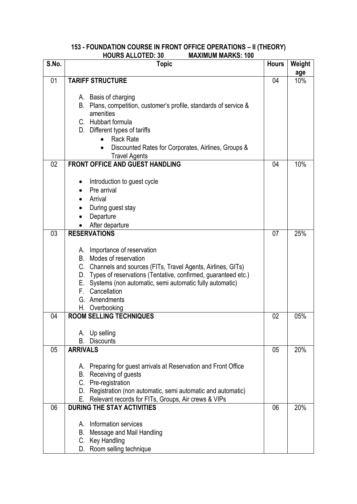#### **153 - FOUNDATION COURSE IN FRONT OFFICE OPERATIONS – II (THEORY) HOURS ALLOTED: 30 MAXIMUM MARKS: 100**

| S.No. | <b>Topic</b>                                                                              | <b>Hours</b> | Weight |
|-------|-------------------------------------------------------------------------------------------|--------------|--------|
|       |                                                                                           |              | age    |
| 01    | <b>TARIFF STRUCTURE</b>                                                                   | 04           | 10%    |
|       |                                                                                           |              |        |
|       | A. Basis of charging<br>B. Plans, competition, customer's profile, standards of service & |              |        |
|       | amenities                                                                                 |              |        |
|       | C. Hubbart formula                                                                        |              |        |
|       | D. Different types of tariffs                                                             |              |        |
|       | <b>Rack Rate</b>                                                                          |              |        |
|       | Discounted Rates for Corporates, Airlines, Groups &                                       |              |        |
|       | <b>Travel Agents</b>                                                                      |              |        |
| 02    | <b>FRONT OFFICE AND GUEST HANDLING</b>                                                    | 04           | 10%    |
|       |                                                                                           |              |        |
|       | Introduction to guest cycle                                                               |              |        |
|       | Pre arrival                                                                               |              |        |
|       | Arrival                                                                                   |              |        |
|       | During guest stay                                                                         |              |        |
|       | Departure                                                                                 |              |        |
|       | After departure                                                                           |              |        |
| 03    | <b>RESERVATIONS</b>                                                                       | 07           | 25%    |
|       |                                                                                           |              |        |
|       | A. Importance of reservation                                                              |              |        |
|       | B. Modes of reservation                                                                   |              |        |
|       | C. Channels and sources (FITs, Travel Agents, Airlines, GITs)                             |              |        |
|       | D. Types of reservations (Tentative, confirmed, guaranteed etc.)                          |              |        |
|       | E. Systems (non automatic, semi automatic fully automatic)                                |              |        |
|       | Cancellation<br>F.                                                                        |              |        |
|       | G. Amendments                                                                             |              |        |
|       | H. Overbooking                                                                            |              |        |
| 04    | <b>ROOM SELLING TECHNIQUES</b>                                                            | 02           | 05%    |
|       |                                                                                           |              |        |
|       | Up selling<br>А.<br><b>Discounts</b><br>В.                                                |              |        |
| 05    | <b>ARRIVALS</b>                                                                           | 05           | 20%    |
|       |                                                                                           |              |        |
|       | A. Preparing for guest arrivals at Reservation and Front Office                           |              |        |
|       | <b>B.</b> Receiving of guests                                                             |              |        |
|       | C. Pre-registration                                                                       |              |        |
|       | D. Registration (non automatic, semi automatic and automatic)                             |              |        |
|       | Relevant records for FITs, Groups, Air crews & VIPs<br>Е.                                 |              |        |
| 06    | <b>DURING THE STAY ACTIVITIES</b>                                                         | 06           | 20%    |
|       |                                                                                           |              |        |
|       | Information services<br>А.                                                                |              |        |
|       | Message and Mail Handling<br>В.                                                           |              |        |
|       | C. Key Handling                                                                           |              |        |
|       | D. Room selling technique                                                                 |              |        |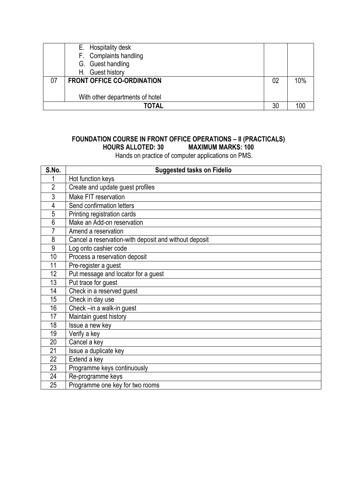|    | E. Hospitality desk               |    |     |
|----|-----------------------------------|----|-----|
|    | F. Complaints handling            |    |     |
|    | G. Guest handling                 |    |     |
|    | H. Guest history                  |    |     |
| 07 | <b>FRONT OFFICE CO-ORDINATION</b> | 02 | 10% |
|    |                                   |    |     |
|    | With other departments of hotel   |    |     |
|    | TOTAL                             | 30 |     |

# **FOUNDATION COURSE IN FRONT OFFICE OPERATIONS – II (PRACTICALS) HOURS ALLOTED: 30 MAXIMUM MARKS: 100**

Hands on practice of computer applications on PMS.

| S.No.          | <b>Suggested tasks on Fidelio</b>                     |
|----------------|-------------------------------------------------------|
|                | Hot function keys                                     |
| $\overline{2}$ | Create and update guest profiles                      |
| 3              | Make FIT reservation                                  |
| 4              | Send confirmation letters                             |
| 5              | Printing registration cards                           |
| 6              | Make an Add-on reservation                            |
| 7              | Amend a reservation                                   |
| 8              | Cancel a reservation-with deposit and without deposit |
| 9              | Log onto cashier code                                 |
| 10             | Process a reservation deposit                         |
| 11             | Pre-register a guest                                  |
| 12             | Put message and locator for a guest                   |
| 13             | Put trace for guest                                   |
| 14             | Check in a reserved guest                             |
| 15             | Check in day use                                      |
| 16             | Check -in a walk-in guest                             |
| 17             | Maintain guest history                                |
| 18             | Issue a new key                                       |
| 19             | Verify a key                                          |
| 20             | Cancel a key                                          |
| 21             | Issue a duplicate key                                 |
| 22             | Extend a key                                          |
| 23             | Programme keys continuously                           |
| 24             | Re-programme keys                                     |
| 25             | Programme one key for two rooms                       |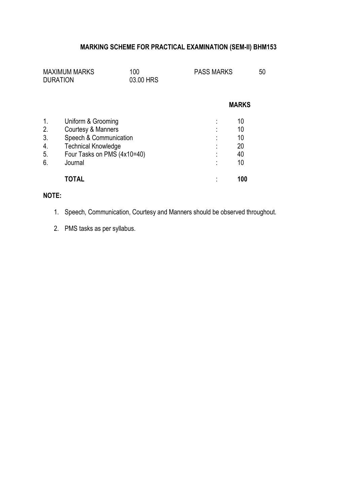| <b>MAXIMUM MARKS</b><br><b>DURATION</b> |                                                           | 100<br>03.00 HRS |        | <b>PASS MARKS</b> | 50 |
|-----------------------------------------|-----------------------------------------------------------|------------------|--------|-------------------|----|
|                                         |                                                           |                  |        | <b>MARKS</b>      |    |
| 2.                                      | Uniform & Grooming<br>Courtesy & Manners                  |                  |        | 10<br>10          |    |
| 3.                                      | Speech & Communication                                    |                  | ٠<br>٠ | 10<br>20          |    |
| 4.<br>5.                                | <b>Technical Knowledge</b><br>Four Tasks on PMS (4x10=40) |                  |        | 40                |    |
| 6.                                      | Journal                                                   |                  |        | 10                |    |
|                                         | <b>TOTAL</b>                                              |                  |        | 100               |    |

- 1. Speech, Communication, Courtesy and Manners should be observed throughout.
- 2. PMS tasks as per syllabus.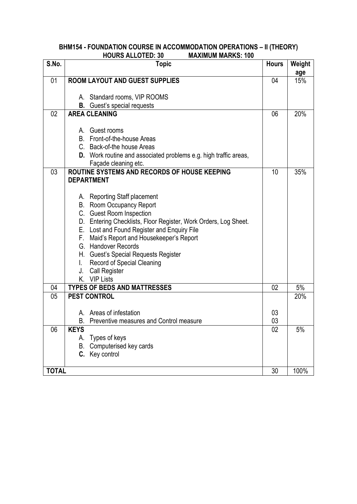#### **BHM154 - FOUNDATION COURSE IN ACCOMMODATION OPERATIONS – II (THEORY) HOURS ALLOTED: 30 MAXIMUM MARKS: 100**

| S.No.        | .<br><b>Topic</b>                                                       | <b>Hours</b> | Weight |
|--------------|-------------------------------------------------------------------------|--------------|--------|
|              |                                                                         |              | age    |
| 01           | <b>ROOM LAYOUT AND GUEST SUPPLIES</b>                                   | 04           | 15%    |
|              |                                                                         |              |        |
|              | A. Standard rooms, VIP ROOMS<br><b>B.</b> Guest's special requests      |              |        |
| 02           | <b>AREA CLEANING</b>                                                    | 06           | 20%    |
|              |                                                                         |              |        |
|              | A. Guest rooms                                                          |              |        |
|              | B. Front-of-the-house Areas                                             |              |        |
|              | C. Back-of-the house Areas                                              |              |        |
|              | <b>D.</b> Work routine and associated problems e.g. high traffic areas, |              |        |
|              | Façade cleaning etc.                                                    |              |        |
| 03           | ROUTINE SYSTEMS AND RECORDS OF HOUSE KEEPING                            | 10           | 35%    |
|              | <b>DEPARTMENT</b>                                                       |              |        |
|              |                                                                         |              |        |
|              | A. Reporting Staff placement                                            |              |        |
|              | B. Room Occupancy Report                                                |              |        |
|              | C. Guest Room Inspection                                                |              |        |
|              | D. Entering Checklists, Floor Register, Work Orders, Log Sheet.         |              |        |
|              | E. Lost and Found Register and Enquiry File                             |              |        |
|              | Maid's Report and Housekeeper's Report<br>F.                            |              |        |
|              | G. Handover Records                                                     |              |        |
|              | H. Guest's Special Requests Register                                    |              |        |
|              | Record of Special Cleaning                                              |              |        |
|              | <b>Call Register</b><br>J.<br>K. VIP Lists                              |              |        |
| 04           | <b>TYPES OF BEDS AND MATTRESSES</b>                                     | 02           | 5%     |
| 05           | <b>PEST CONTROL</b>                                                     |              | 20%    |
|              |                                                                         |              |        |
|              | A. Areas of infestation                                                 | 03           |        |
|              | B. Preventive measures and Control measure                              | 03           |        |
| 06           | <b>KEYS</b>                                                             | 02           | 5%     |
|              | Types of keys<br>А.                                                     |              |        |
|              | Computerised key cards<br>В.                                            |              |        |
|              | C. Key control                                                          |              |        |
|              |                                                                         |              |        |
| <b>TOTAL</b> |                                                                         | 30           | 100%   |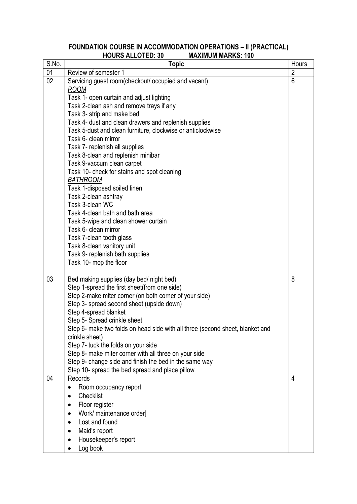#### **FOUNDATION COURSE IN ACCOMMODATION OPERATIONS – II (PRACTICAL) HOURS ALLOTED: 30 MAXIMUM MARKS: 100**

| S.No. | <b>Topic</b>                                                                  | Hours          |
|-------|-------------------------------------------------------------------------------|----------------|
| 01    | Review of semester 1                                                          | $\overline{2}$ |
| 02    | Servicing guest room(checkout/ occupied and vacant)                           | 6              |
|       | <b>ROOM</b>                                                                   |                |
|       | Task 1- open curtain and adjust lighting                                      |                |
|       | Task 2-clean ash and remove trays if any                                      |                |
|       | Task 3- strip and make bed                                                    |                |
|       | Task 4- dust and clean drawers and replenish supplies                         |                |
|       | Task 5-dust and clean furniture, clockwise or anticlockwise                   |                |
|       | Task 6- clean mirror                                                          |                |
|       | Task 7- replenish all supplies                                                |                |
|       | Task 8-clean and replenish minibar                                            |                |
|       | Task 9-vaccum clean carpet<br>Task 10- check for stains and spot cleaning     |                |
|       | <b>BATHROOM</b>                                                               |                |
|       | Task 1-disposed soiled linen                                                  |                |
|       | Task 2-clean ashtray                                                          |                |
|       | Task 3-clean WC                                                               |                |
|       | Task 4-clean bath and bath area                                               |                |
|       | Task 5-wipe and clean shower curtain                                          |                |
|       | Task 6- clean mirror                                                          |                |
|       | Task 7-clean tooth glass                                                      |                |
|       | Task 8-clean vanitory unit                                                    |                |
|       | Task 9- replenish bath supplies                                               |                |
|       | Task 10- mop the floor                                                        |                |
|       |                                                                               |                |
| 03    | Bed making supplies (day bed/ night bed)                                      | 8              |
|       | Step 1-spread the first sheet(from one side)                                  |                |
|       | Step 2-make miter corner (on both corner of your side)                        |                |
|       | Step 3- spread second sheet (upside down)                                     |                |
|       | Step 4-spread blanket                                                         |                |
|       | Step 5- Spread crinkle sheet                                                  |                |
|       | Step 6- make two folds on head side with all three (second sheet, blanket and |                |
|       | crinkle sheet)                                                                |                |
|       | Step 7- tuck the folds on your side                                           |                |
|       | Step 8- make miter corner with all three on your side                         |                |
|       | Step 9- change side and finish the bed in the same way                        |                |
| 04    | Step 10- spread the bed spread and place pillow<br>Records                    | 4              |
|       |                                                                               |                |
|       | Room occupancy report<br>$\bullet$<br>Checklist                               |                |
|       |                                                                               |                |
|       | Floor register<br>$\bullet$                                                   |                |
|       | Work/ maintenance order]<br>$\bullet$                                         |                |
|       | Lost and found<br>$\bullet$                                                   |                |
|       | Maid's report<br>$\bullet$                                                    |                |
|       | Housekeeper's report                                                          |                |
|       | Log book                                                                      |                |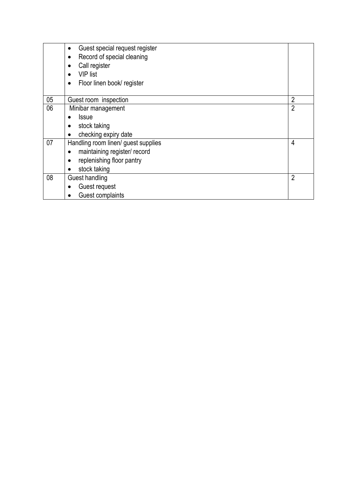|    | Guest special request register<br>$\bullet$ |                |
|----|---------------------------------------------|----------------|
|    | Record of special cleaning<br>٠             |                |
|    | Call register                               |                |
|    | <b>VIP</b> list                             |                |
|    | Floor linen book/ register                  |                |
|    |                                             |                |
| 05 | Guest room inspection                       | $\overline{2}$ |
| 06 | Minibar management                          | 2              |
|    | <b>Issue</b>                                |                |
|    | stock taking                                |                |
|    | checking expiry date                        |                |
| 07 | Handling room linen/ guest supplies         | 4              |
|    | maintaining register/ record                |                |
|    | replenishing floor pantry<br>٠              |                |
|    | stock taking<br>$\bullet$                   |                |
| 08 | Guest handling                              | 2              |
|    | Guest request                               |                |
|    | Guest complaints                            |                |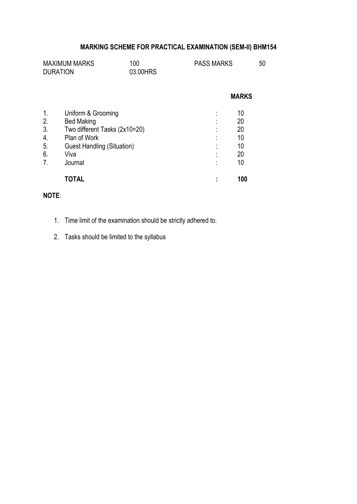| <b>MAXIMUM MARKS</b> | 100      | <b>PASS MARKS</b> | 50 |
|----------------------|----------|-------------------|----|
| <b>DURATION</b>      | 03.00HRS |                   |    |

|               |                                   |   | <b>MARKS</b> |
|---------------|-----------------------------------|---|--------------|
| $\mathbf 1$ . | Uniform & Grooming                | ٠ | 10           |
| 2.            | <b>Bed Making</b>                 | ٠ | 20           |
| 3.            | Two different Tasks (2x10=20)     |   | 20           |
| 4.            | Plan of Work                      | ٠ | 10           |
| 5.            | <b>Guest Handling (Situation)</b> |   | 10           |
| 6.            | Viva                              |   | 20           |
| 7.            | Journal                           |   | 10           |
|               |                                   |   | 100          |

- 1. Time limit of the examination should be strictly adhered to.
- 2. Tasks should be limited to the syllabus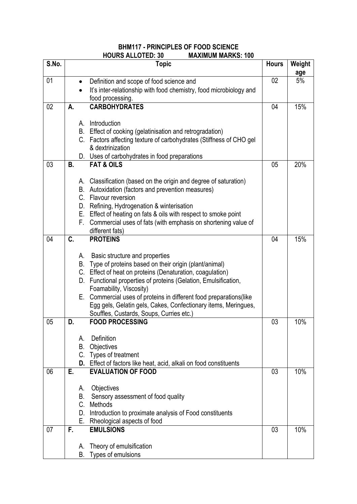### **BHM117 - PRINCIPLES OF FOOD SCIENCE HOURS ALLOTED: 30 MAXIMUM MARKS: 100**

| S.No. |    | <b>Topic</b>                                                                                                                          | <b>Hours</b> | Weight |
|-------|----|---------------------------------------------------------------------------------------------------------------------------------------|--------------|--------|
|       |    |                                                                                                                                       |              | age    |
| 01    |    | Definition and scope of food science and<br>$\bullet$                                                                                 | 02           | 5%     |
|       |    | It's inter-relationship with food chemistry, food microbiology and                                                                    |              |        |
|       |    | food processing.                                                                                                                      |              |        |
| 02    | А. | <b>CARBOHYDRATES</b>                                                                                                                  | 04           | 15%    |
|       |    | Introduction<br>А.                                                                                                                    |              |        |
|       |    | B. Effect of cooking (gelatinisation and retrogradation)                                                                              |              |        |
|       |    | C. Factors affecting texture of carbohydrates (Stiffness of CHO gel                                                                   |              |        |
|       |    | & dextrinization                                                                                                                      |              |        |
|       |    | D. Uses of carbohydrates in food preparations                                                                                         |              |        |
| 03    | В. | <b>FAT &amp; OILS</b>                                                                                                                 | 05           | 20%    |
|       |    |                                                                                                                                       |              |        |
|       |    | A. Classification (based on the origin and degree of saturation)                                                                      |              |        |
|       |    | B. Autoxidation (factors and prevention measures)                                                                                     |              |        |
|       |    | C. Flavour reversion                                                                                                                  |              |        |
|       |    | D. Refining, Hydrogenation & winterisation                                                                                            |              |        |
|       |    | E. Effect of heating on fats & oils with respect to smoke point<br>F. Commercial uses of fats (with emphasis on shortening value of   |              |        |
|       |    | different fats)                                                                                                                       |              |        |
| 04    | C. | <b>PROTEINS</b>                                                                                                                       | 04           | 15%    |
|       |    |                                                                                                                                       |              |        |
|       |    | Basic structure and properties<br>А.                                                                                                  |              |        |
|       |    | B. Type of proteins based on their origin (plant/animal)                                                                              |              |        |
|       |    | C. Effect of heat on proteins (Denaturation, coagulation)                                                                             |              |        |
|       |    | D. Functional properties of proteins (Gelation, Emulsification,                                                                       |              |        |
|       |    | Foamability, Viscosity)                                                                                                               |              |        |
|       |    | E. Commercial uses of proteins in different food preparations (like<br>Egg gels, Gelatin gels, Cakes, Confectionary items, Meringues, |              |        |
|       |    | Souffles, Custards, Soups, Curries etc.)                                                                                              |              |        |
| 05    | D. | <b>FOOD PROCESSING</b>                                                                                                                | 03           | 10%    |
|       |    |                                                                                                                                       |              |        |
|       |    | Definition<br>А.                                                                                                                      |              |        |
|       |    | <b>B.</b> Objectives                                                                                                                  |              |        |
|       |    | C. Types of treatment                                                                                                                 |              |        |
|       |    | D. Effect of factors like heat, acid, alkali on food constituents                                                                     |              |        |
| 06    | Ε. | <b>EVALUATION OF FOOD</b>                                                                                                             | 03           | 10%    |
|       |    | Objectives<br>А.                                                                                                                      |              |        |
|       |    | B.<br>Sensory assessment of food quality                                                                                              |              |        |
|       |    | C. Methods                                                                                                                            |              |        |
|       |    | D. Introduction to proximate analysis of Food constituents                                                                            |              |        |
|       |    | E. Rheological aspects of food                                                                                                        |              |        |
| 07    | F. | <b>EMULSIONS</b>                                                                                                                      | 03           | 10%    |
|       |    |                                                                                                                                       |              |        |
|       |    | Theory of emulsification<br>А.                                                                                                        |              |        |
|       |    | Types of emulsions<br>В.                                                                                                              |              |        |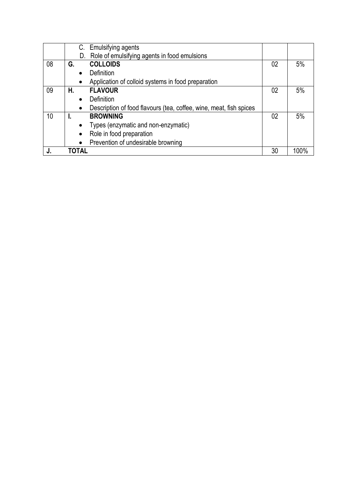|    |           | C. Emulsifying agents                                              |    |    |
|----|-----------|--------------------------------------------------------------------|----|----|
|    |           | D. Role of emulsifying agents in food emulsions                    |    |    |
| 08 | G.        | <b>COLLOIDS</b>                                                    | 02 | 5% |
|    |           | Definition                                                         |    |    |
|    | $\bullet$ | Application of colloid systems in food preparation                 |    |    |
| 09 | Н.        | <b>FLAVOUR</b>                                                     | 02 | 5% |
|    | $\bullet$ | Definition                                                         |    |    |
|    | $\bullet$ | Description of food flavours (tea, coffee, wine, meat, fish spices |    |    |
| 10 |           | <b>BROWNING</b>                                                    | 02 | 5% |
|    | $\bullet$ | Types (enzymatic and non-enzymatic)                                |    |    |
|    | $\bullet$ | Role in food preparation                                           |    |    |
|    | $\bullet$ | Prevention of undesirable browning                                 |    |    |
|    | TOTAL     |                                                                    | 30 |    |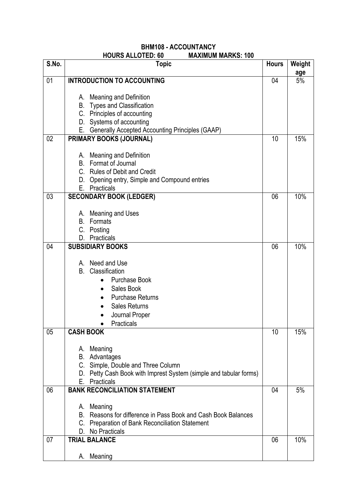### **BHM108 - ACCOUNTANCY HOURS ALLOTED: 60**

| S.No. | <b>Topic</b>                                                                                                        | <b>Hours</b> | Weight    |
|-------|---------------------------------------------------------------------------------------------------------------------|--------------|-----------|
| 01    | <b>INTRODUCTION TO ACCOUNTING</b>                                                                                   | 04           | age<br>5% |
|       |                                                                                                                     |              |           |
|       | A. Meaning and Definition                                                                                           |              |           |
|       | <b>B.</b> Types and Classification                                                                                  |              |           |
|       | C. Principles of accounting                                                                                         |              |           |
|       | D. Systems of accounting                                                                                            |              |           |
| 02    | E. Generally Accepted Accounting Principles (GAAP)<br>PRIMARY BOOKS (JOURNAL)                                       | 10           | 15%       |
|       |                                                                                                                     |              |           |
|       | A. Meaning and Definition                                                                                           |              |           |
|       | Format of Journal<br>B.                                                                                             |              |           |
|       | C. Rules of Debit and Credit                                                                                        |              |           |
|       | D. Opening entry, Simple and Compound entries                                                                       |              |           |
| 03    | Practicals<br>Е.<br><b>SECONDARY BOOK (LEDGER)</b>                                                                  | 06           | 10%       |
|       |                                                                                                                     |              |           |
|       | A. Meaning and Uses                                                                                                 |              |           |
|       | Formats<br>B.                                                                                                       |              |           |
|       | C. Posting                                                                                                          |              |           |
|       | Practicals<br>D.                                                                                                    |              |           |
| 04    | <b>SUBSIDIARY BOOKS</b>                                                                                             | 06           | 10%       |
|       | Need and Use<br>A.                                                                                                  |              |           |
|       | Classification<br>В.                                                                                                |              |           |
|       | <b>Purchase Book</b>                                                                                                |              |           |
|       | Sales Book                                                                                                          |              |           |
|       | <b>Purchase Returns</b>                                                                                             |              |           |
|       | <b>Sales Returns</b>                                                                                                |              |           |
|       | Journal Proper<br>Practicals                                                                                        |              |           |
| 05    | <b>CASH BOOK</b>                                                                                                    | 10           | 15%       |
|       |                                                                                                                     |              |           |
|       | A. Meaning                                                                                                          |              |           |
|       | В.<br>Advantages                                                                                                    |              |           |
|       | C. Simple, Double and Three Column<br>D. Petty Cash Book with Imprest System (simple and tabular forms)             |              |           |
|       | Е.<br>Practicals                                                                                                    |              |           |
| 06    | <b>BANK RECONCILIATION STATEMENT</b>                                                                                | 04           | 5%        |
|       |                                                                                                                     |              |           |
|       | A. Meaning                                                                                                          |              |           |
|       | Reasons for difference in Pass Book and Cash Book Balances<br>В.<br>C. Preparation of Bank Reconciliation Statement |              |           |
|       | D. No Practicals                                                                                                    |              |           |
| 07    | <b>TRIAL BALANCE</b>                                                                                                | 06           | 10%       |
|       |                                                                                                                     |              |           |
|       | Meaning<br>А.                                                                                                       |              |           |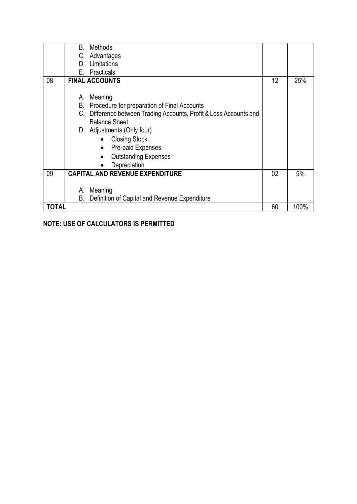|              | Methods<br>В.                                                      |    |      |
|--------------|--------------------------------------------------------------------|----|------|
|              | C. Advantages                                                      |    |      |
|              | Limitations<br>D.                                                  |    |      |
|              | Practicals<br>F.                                                   |    |      |
| 08           | <b>FINAL ACCOUNTS</b>                                              | 12 | 25%  |
|              |                                                                    |    |      |
|              | Meaning<br>А.                                                      |    |      |
|              | Procedure for preparation of Final Accounts<br>В.                  |    |      |
|              | C. Difference between Trading Accounts, Profit & Loss Accounts and |    |      |
|              | <b>Balance Sheet</b>                                               |    |      |
|              | D. Adjustments (Only four)                                         |    |      |
|              | <b>Closing Stock</b><br>$\bullet$                                  |    |      |
|              | Pre-paid Expenses<br>$\bullet$                                     |    |      |
|              | <b>Outstanding Expenses</b><br>$\bullet$                           |    |      |
|              | Depreciation<br>$\bullet$                                          |    |      |
| 09           | <b>CAPITAL AND REVENUE EXPENDITURE</b>                             | 02 | 5%   |
|              |                                                                    |    |      |
|              | Meaning<br>А.                                                      |    |      |
|              | В.<br>Definition of Capital and Revenue Expenditure                |    |      |
| <b>TOTAL</b> |                                                                    | 60 | 100% |

## **NOTE: USE OF CALCULATORS IS PERMITTED**